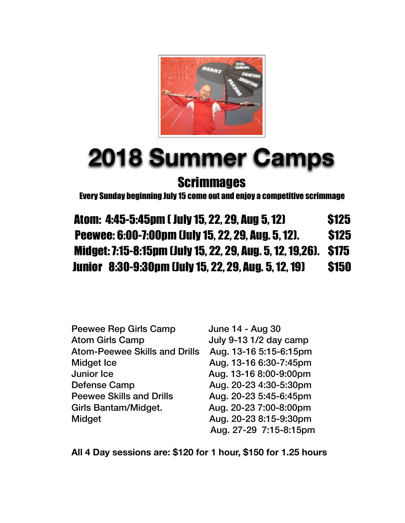

# **2018 Summer Camps Scrimmages**

Every Sunday beginning July 15 come out and enjoy a competitive scrimmage

Atom: 4:45-5:45pm ( July 15, 22, 29, Aug 5, 12) \$125 Peewee: 6:00-7:00pm (July 15, 22, 29, Aug. 5, 12). \$125 Midget: 7:15-8:15pm (July 15, 22, 29, Aug. 5, 12, 19,26). \$175 Junior 8:30-9:30pm (July 15, 22, 29, Aug. 5, 12, 19) \$150

| <b>Peewee Rep Girls Camp</b>         | June 14 - Aug 30       |
|--------------------------------------|------------------------|
| <b>Atom Girls Camp</b>               | July 9-13 1/2 day camp |
| <b>Atom-Peewee Skills and Drills</b> | Aug. 13-16 5:15-6:15pm |
| <b>Midget Ice</b>                    | Aug. 13-16 6:30-7:45pm |
| <b>Junior Ice</b>                    | Aug. 13-16 8:00-9:00pm |
| <b>Defense Camp</b>                  | Aug. 20-23 4:30-5:30pm |
| <b>Peewee Skills and Drills</b>      | Aug. 20-23 5:45-6:45pm |
| Girls Bantam/Midget.                 | Aug. 20-23 7:00-8:00pm |
| Midget                               | Aug. 20-23 8:15-9:30pm |
|                                      | Aug. 27-29 7:15-8:15pm |

**All 4 Day sessions are: \$120 for 1 hour, \$150 for 1.25 hours**